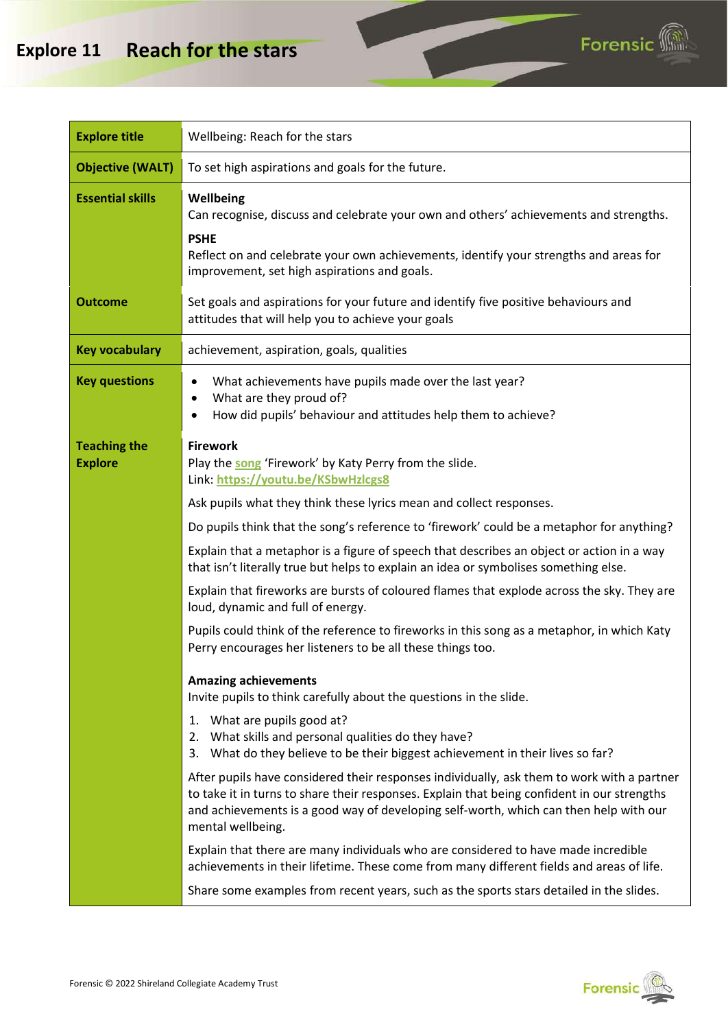#### **Explore 11 Reach for the stars**



| <b>Explore title</b>                  | Wellbeing: Reach for the stars                                                                                                                                                                                                                                                                                                                                                                                                                                                                                                                                                                                                                                                                                                                                                                                                                                                                                                                                                                                                                                                                                                                                                                                                                                                                                                                                                                                                                              |
|---------------------------------------|-------------------------------------------------------------------------------------------------------------------------------------------------------------------------------------------------------------------------------------------------------------------------------------------------------------------------------------------------------------------------------------------------------------------------------------------------------------------------------------------------------------------------------------------------------------------------------------------------------------------------------------------------------------------------------------------------------------------------------------------------------------------------------------------------------------------------------------------------------------------------------------------------------------------------------------------------------------------------------------------------------------------------------------------------------------------------------------------------------------------------------------------------------------------------------------------------------------------------------------------------------------------------------------------------------------------------------------------------------------------------------------------------------------------------------------------------------------|
| <b>Objective (WALT)</b>               | To set high aspirations and goals for the future.                                                                                                                                                                                                                                                                                                                                                                                                                                                                                                                                                                                                                                                                                                                                                                                                                                                                                                                                                                                                                                                                                                                                                                                                                                                                                                                                                                                                           |
| <b>Essential skills</b>               | Wellbeing<br>Can recognise, discuss and celebrate your own and others' achievements and strengths.<br><b>PSHE</b><br>Reflect on and celebrate your own achievements, identify your strengths and areas for<br>improvement, set high aspirations and goals.                                                                                                                                                                                                                                                                                                                                                                                                                                                                                                                                                                                                                                                                                                                                                                                                                                                                                                                                                                                                                                                                                                                                                                                                  |
| <b>Outcome</b>                        | Set goals and aspirations for your future and identify five positive behaviours and<br>attitudes that will help you to achieve your goals                                                                                                                                                                                                                                                                                                                                                                                                                                                                                                                                                                                                                                                                                                                                                                                                                                                                                                                                                                                                                                                                                                                                                                                                                                                                                                                   |
| <b>Key vocabulary</b>                 | achievement, aspiration, goals, qualities                                                                                                                                                                                                                                                                                                                                                                                                                                                                                                                                                                                                                                                                                                                                                                                                                                                                                                                                                                                                                                                                                                                                                                                                                                                                                                                                                                                                                   |
| <b>Key questions</b>                  | What achievements have pupils made over the last year?<br>٠<br>What are they proud of?<br>٠<br>How did pupils' behaviour and attitudes help them to achieve?                                                                                                                                                                                                                                                                                                                                                                                                                                                                                                                                                                                                                                                                                                                                                                                                                                                                                                                                                                                                                                                                                                                                                                                                                                                                                                |
| <b>Teaching the</b><br><b>Explore</b> | <b>Firework</b><br>Play the song 'Firework' by Katy Perry from the slide.<br>Link: https://youtu.be/KSbwHzlcgs8<br>Ask pupils what they think these lyrics mean and collect responses.<br>Do pupils think that the song's reference to 'firework' could be a metaphor for anything?<br>Explain that a metaphor is a figure of speech that describes an object or action in a way<br>that isn't literally true but helps to explain an idea or symbolises something else.<br>Explain that fireworks are bursts of coloured flames that explode across the sky. They are<br>loud, dynamic and full of energy.<br>Pupils could think of the reference to fireworks in this song as a metaphor, in which Katy<br>Perry encourages her listeners to be all these things too.<br><b>Amazing achievements</b><br>Invite pupils to think carefully about the questions in the slide.<br>What are pupils good at?<br>1.<br>2. What skills and personal qualities do they have?<br>What do they believe to be their biggest achievement in their lives so far?<br>3.<br>After pupils have considered their responses individually, ask them to work with a partner<br>to take it in turns to share their responses. Explain that being confident in our strengths<br>and achievements is a good way of developing self-worth, which can then help with our<br>mental wellbeing.<br>Explain that there are many individuals who are considered to have made incredible |
|                                       | Share some examples from recent years, such as the sports stars detailed in the slides.                                                                                                                                                                                                                                                                                                                                                                                                                                                                                                                                                                                                                                                                                                                                                                                                                                                                                                                                                                                                                                                                                                                                                                                                                                                                                                                                                                     |
|                                       | achievements in their lifetime. These come from many different fields and areas of life.                                                                                                                                                                                                                                                                                                                                                                                                                                                                                                                                                                                                                                                                                                                                                                                                                                                                                                                                                                                                                                                                                                                                                                                                                                                                                                                                                                    |



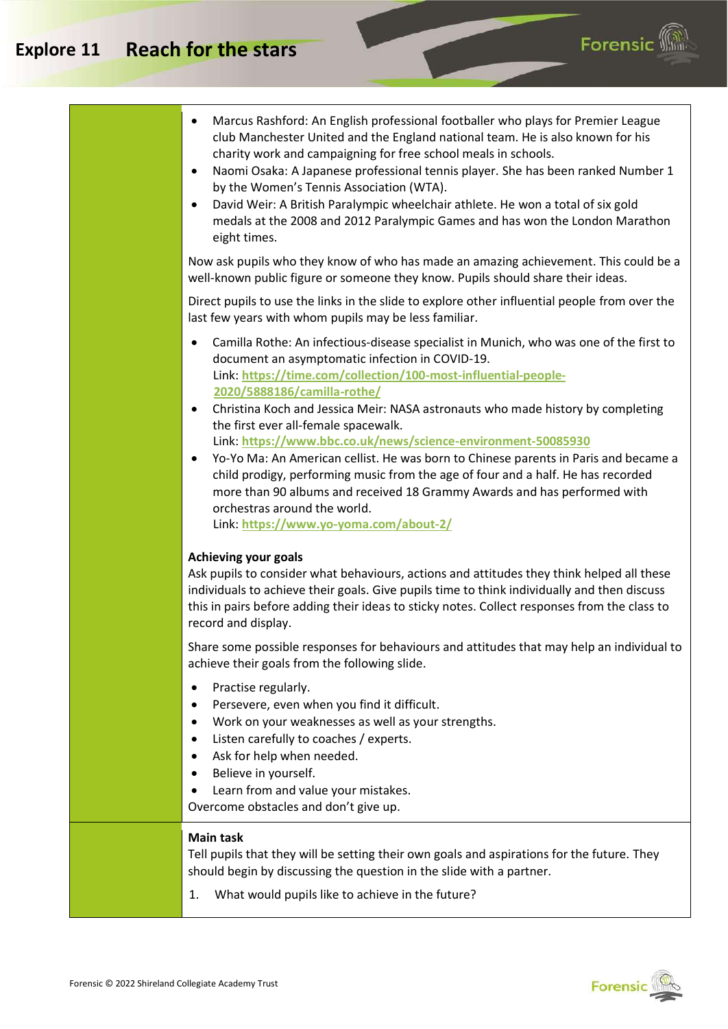#### **Explore 11 Reach for the stars**





**Forensic**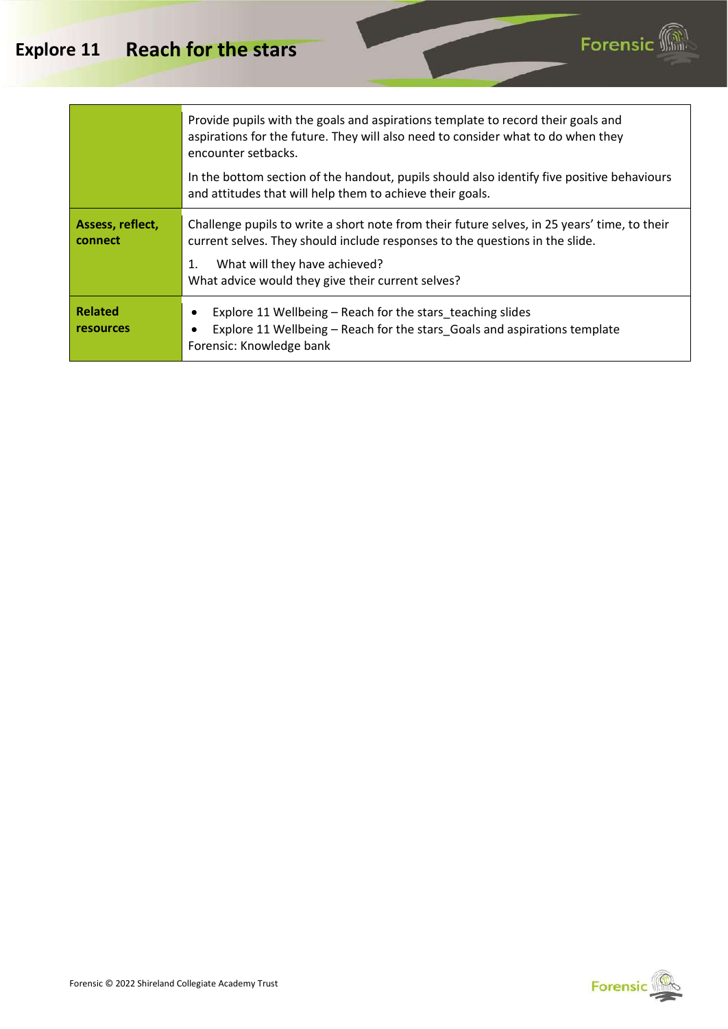

|                                    | Provide pupils with the goals and aspirations template to record their goals and<br>aspirations for the future. They will also need to consider what to do when they<br>encounter setbacks.                                                                              |
|------------------------------------|--------------------------------------------------------------------------------------------------------------------------------------------------------------------------------------------------------------------------------------------------------------------------|
|                                    | In the bottom section of the handout, pupils should also identify five positive behaviours<br>and attitudes that will help them to achieve their goals.                                                                                                                  |
| Assess, reflect,<br>connect        | Challenge pupils to write a short note from their future selves, in 25 years' time, to their<br>current selves. They should include responses to the questions in the slide.<br>What will they have achieved?<br>1.<br>What advice would they give their current selves? |
| <b>Related</b><br><b>resources</b> | Explore 11 Wellbeing – Reach for the stars teaching slides<br>Explore 11 Wellbeing – Reach for the stars Goals and aspirations template<br>Forensic: Knowledge bank                                                                                                      |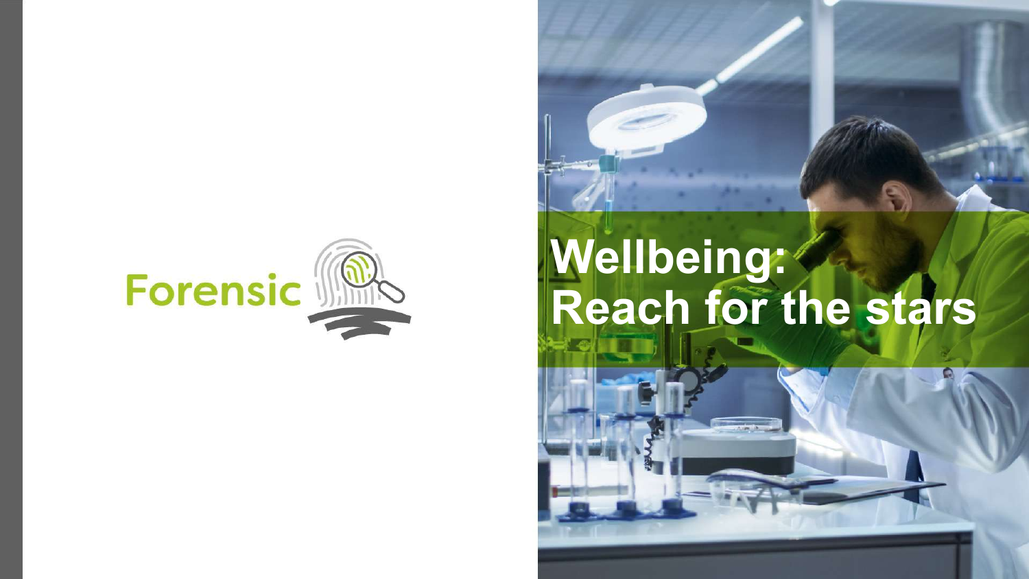

# **Wellbeing: Reach for the stars**

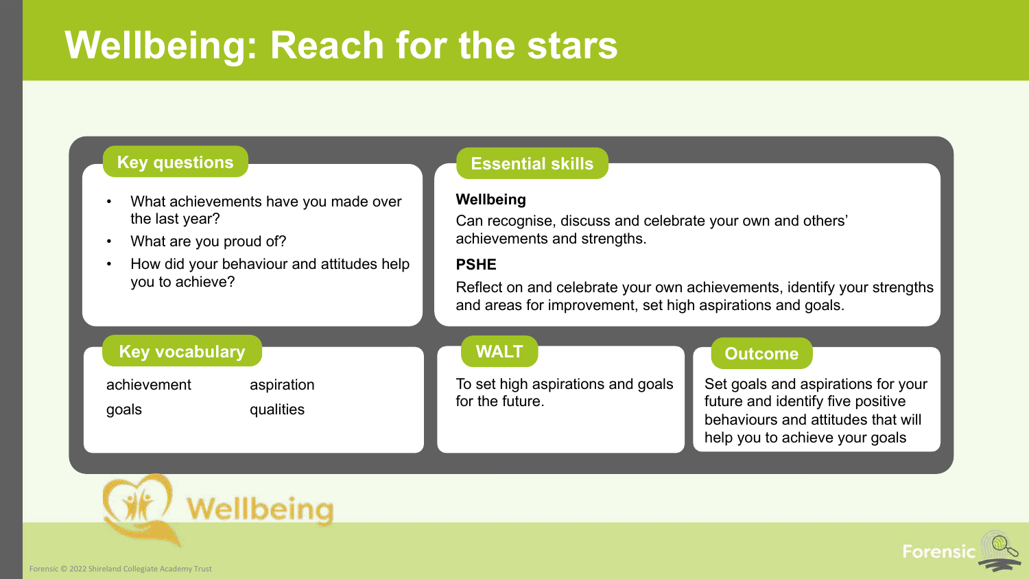### **Wellbeing: Reach for the stars**

#### **Key questions Essential skills**

- What achievements have you made over the last year?
- What are you proud of?
- How did your behaviour and attitudes help you to achieve?

#### **Wellbeing**

Can recognise, discuss and celebrate your own and others' achievements and strengths.

#### **PSHE**

Reflect on and celebrate your own achievements, identify your strengths and areas for improvement, set high aspirations and goals.

#### **Key vocabulary**

goals qualities

achievement aspiration

#### **WALT**

To set high aspirations and goals for the future.

#### **Outcome**

Set goals and aspirations for your future and identify five positive behaviours and attitudes that will help you to achieve your goals



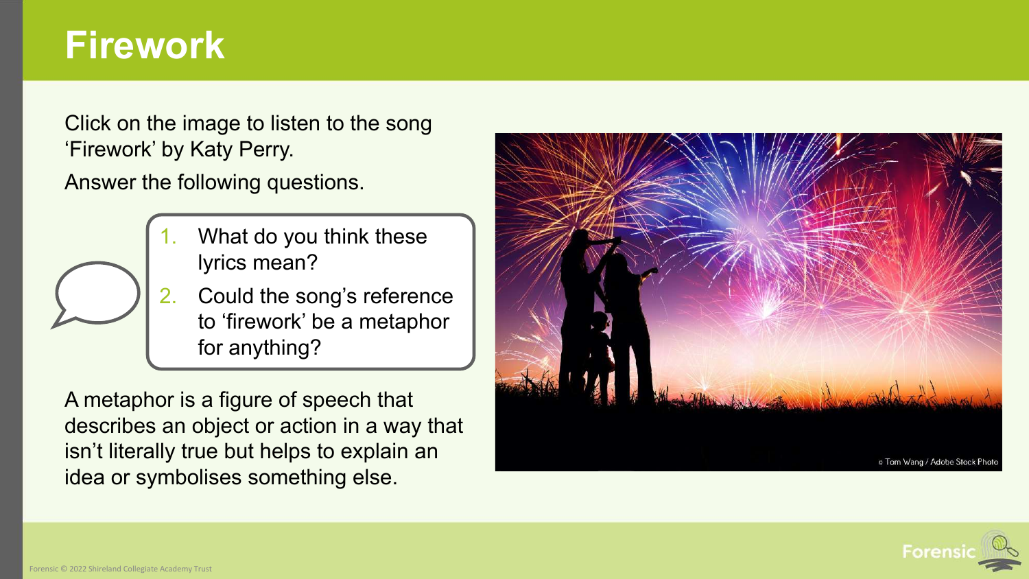### **Firework**

Click on the image to listen to the song 'Firework' by Katy Perry.

Answer the following questions.



2. Could the song's reference to 'firework' be a metaphor for anything?

A metaphor is a figure of speech that describes an object or action in a way that isn't literally true but helps to explain an idea or symbolises something else.



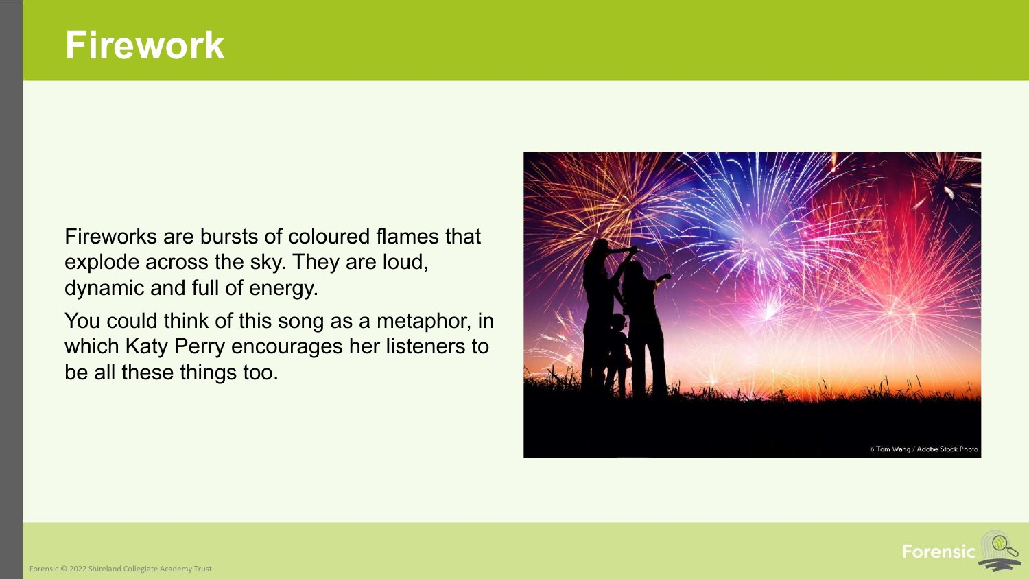### **Firework**

Fireworks are bursts of coloured flames that explode across the sky. They are loud, dynamic and full of energy.

You could think of this song as a metaphor, in which Katy Perry encourages her listeners to be all these things too.



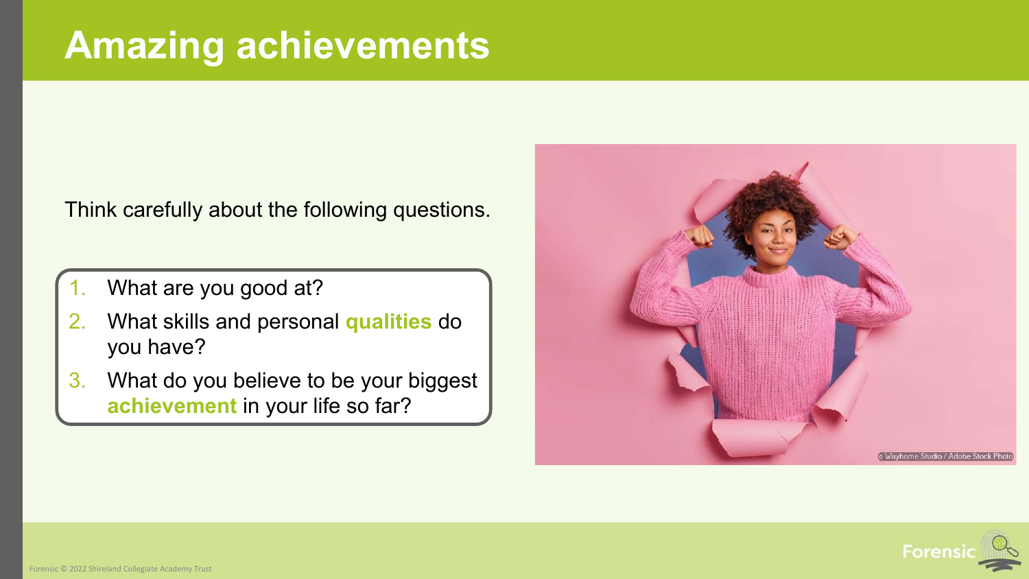Think carefully about the following questions.

- What are you good at?
- 2. What skills and personal **qualities** do you have?
- 3. What do you believe to be your biggest **achievement** in your life so far?



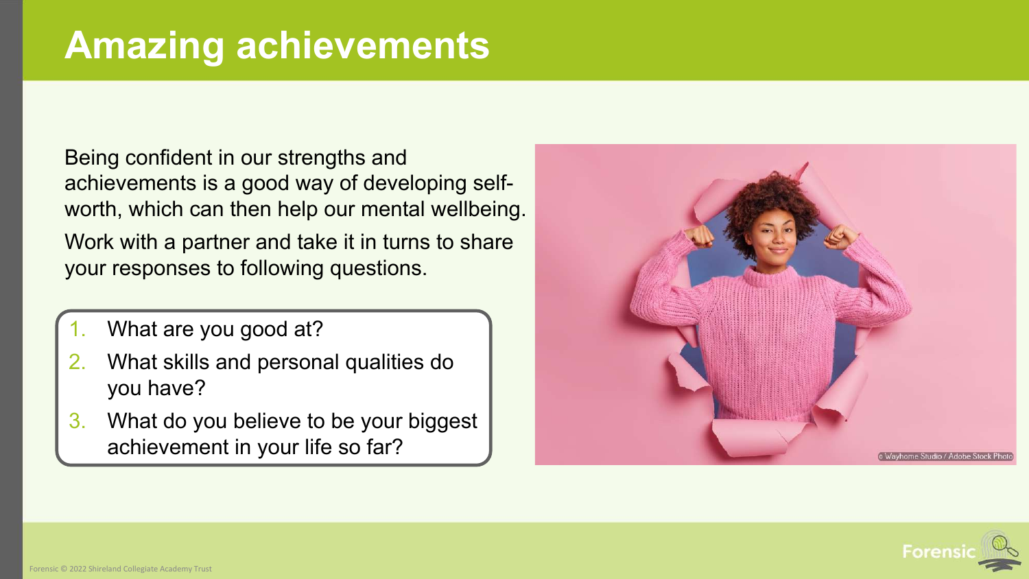Being confident in our strengths and achievements is a good way of developing selfworth, which can then help our mental wellbeing. Work with a partner and take it in turns to share your responses to following questions.

- What are you good at?
- 2. What skills and personal qualities do you have?
- 3. What do you believe to be your biggest achievement in your life so far?



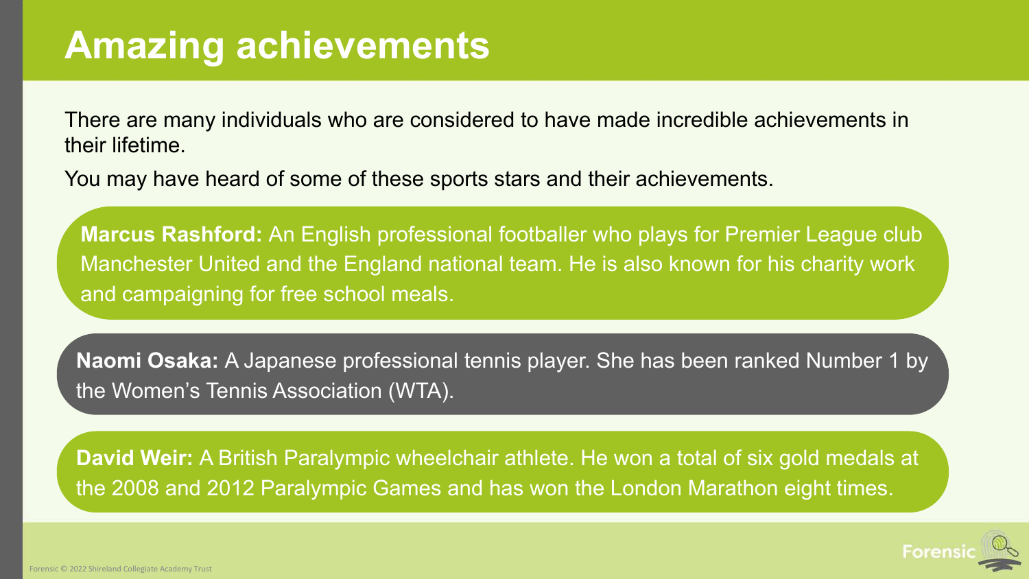There are many individuals who are considered to have made incredible achievements in their lifetime.

You may have heard of some of these sports stars and their achievements.

**Marcus Rashford:** An English professional footballer who plays for Premier League club Manchester United and the England national team. He is also known for his charity work and campaigning for free school meals.

**Naomi Osaka:** A Japanese professional tennis player. She has been ranked Number 1 by the Women's Tennis Association (WTA).

**David Weir:** A British Paralympic wheelchair athlete. He won a total of six gold medals at the 2008 and 2012 Paralympic Games and has won the London Marathon eight times.

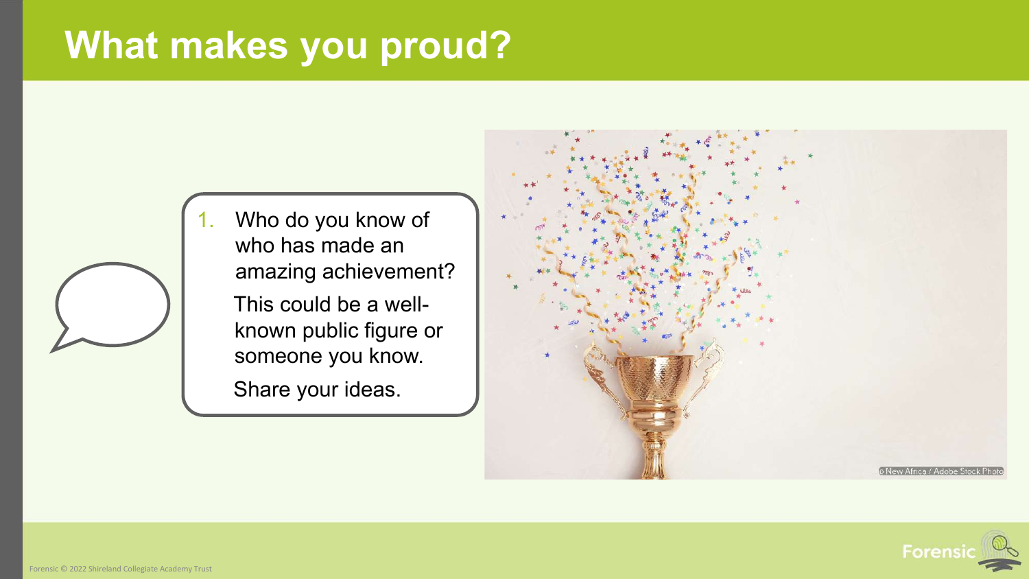## **What makes you proud?**



1. Who do you know of who has made an amazing achievement?

> This could be a wellknown public figure or someone you know.

Share your ideas.



![](_page_10_Picture_6.jpeg)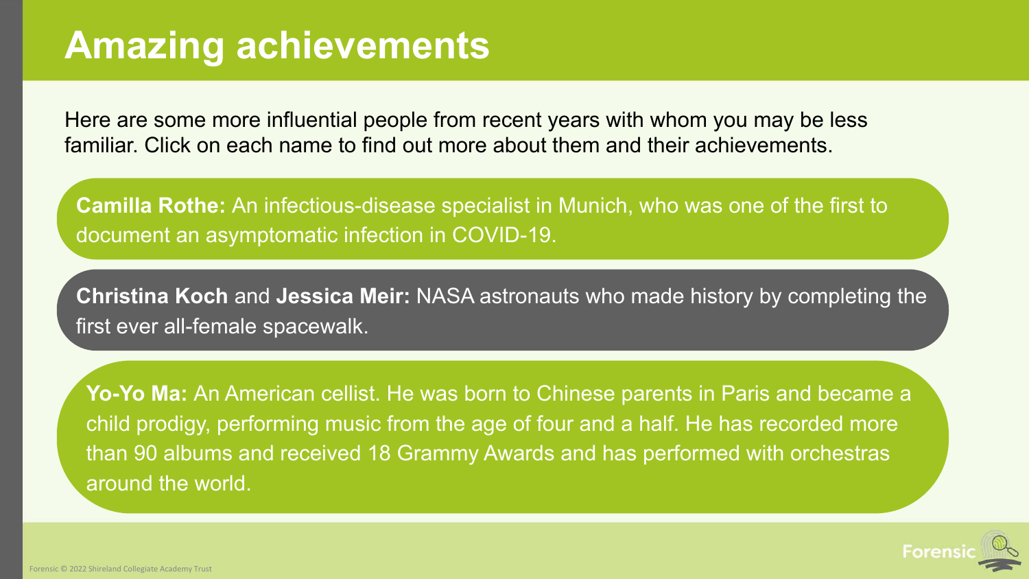Here are some more influential people from recent years with whom you may be less familiar. Click on each name to find out more about them and their achievements.

**Camilla Rothe:** An infectious-disease specialist in Munich, who was one of the first to document an asymptomatic infection in COVID-19.

**Christina Koch** and **Jessica Meir:** NASA astronauts who made history by completing the first ever all-female spacewalk.

**Yo-Yo Ma:** An American cellist. He was born to Chinese parents in Paris and became a child prodigy, performing music from the age of four and a half. He has recorded more than 90 albums and received 18 Grammy Awards and has performed with orchestras around the world.

![](_page_11_Picture_5.jpeg)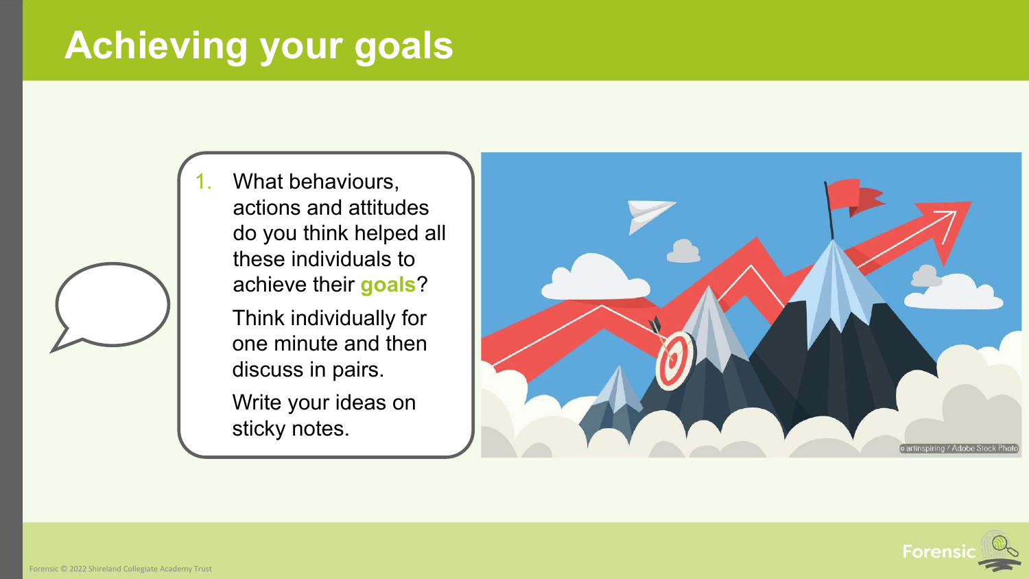## **Achieving your goals**

What behaviours, actions and attitudes do you think helped all these individuals to achieve their **goals**?

Think individually for one minute and then discuss in pairs.

Write your ideas on sticky notes.

![](_page_12_Figure_4.jpeg)

![](_page_12_Picture_5.jpeg)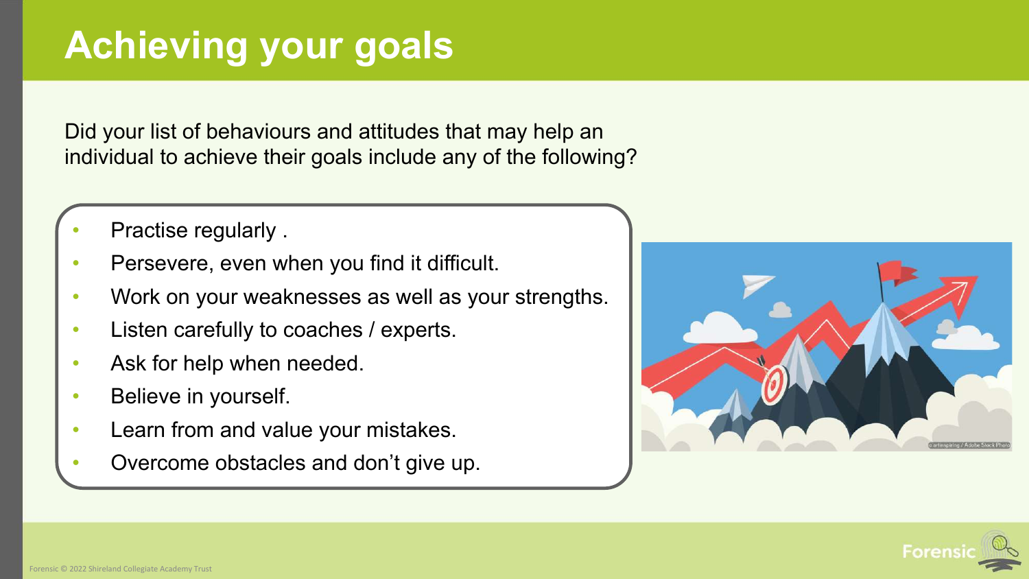## **Achieving your goals**

Did your list of behaviours and attitudes that may help an individual to achieve their goals include any of the following?

- Practise regularly .
- Persevere, even when you find it difficult.
- Work on your weaknesses as well as your strengths.
- Listen carefully to coaches / experts.
- Ask for help when needed.
- Believe in yourself.
- Learn from and value your mistakes.
- Overcome obstacles and don't give up.

![](_page_13_Picture_10.jpeg)

![](_page_13_Picture_11.jpeg)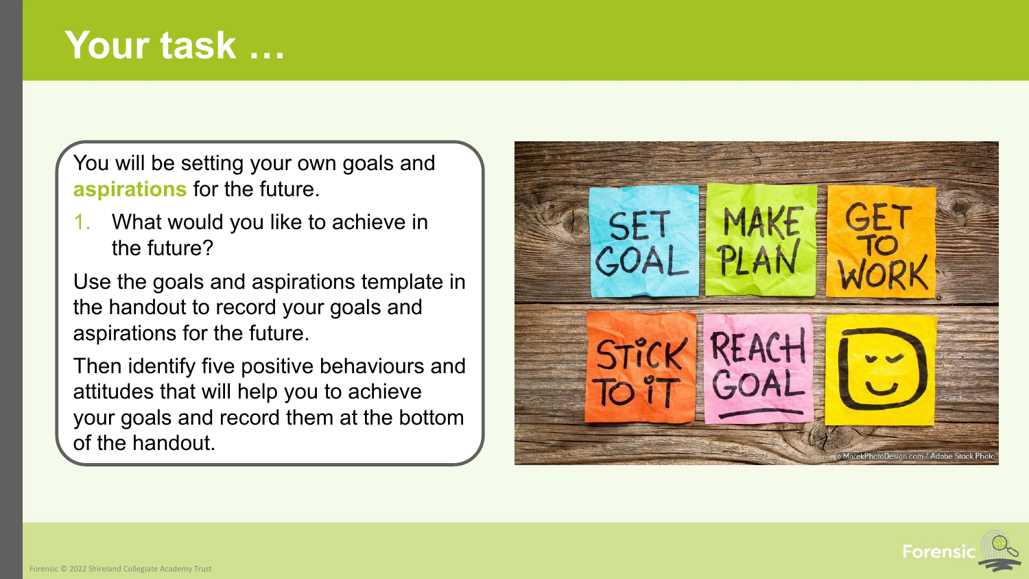You will be setting your own goals and **aspirations** for the future.

1. What would you like to achieve in the future?

Use the goals and aspirations template in the handout to record your goals and aspirations for the future.

Then identify five positive behaviours and attitudes that will help you to achieve your goals and record them at the bottom of the handout.

![](_page_14_Picture_5.jpeg)

![](_page_14_Picture_6.jpeg)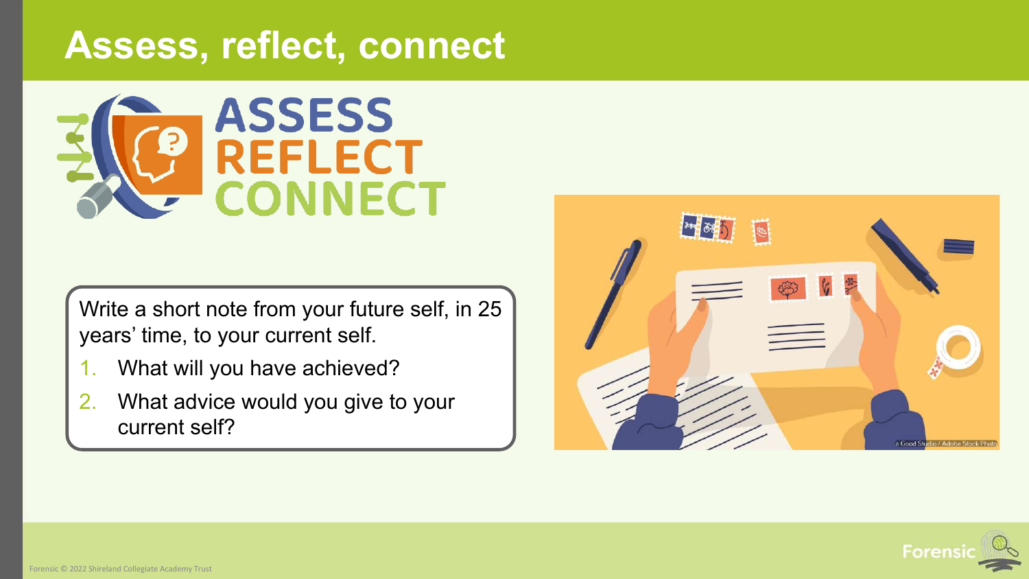#### **Assess, reflect, connect**

![](_page_15_Picture_1.jpeg)

Write a short note from your future self, in 25 years' time, to your current self.

- 1. What will you have achieved?
- 2. What advice would you give to your current self?

![](_page_15_Picture_5.jpeg)

![](_page_15_Picture_6.jpeg)